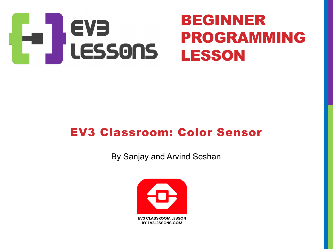

#### EV3 Classroom: Color Sensor

By Sanjay and Arvind Seshan

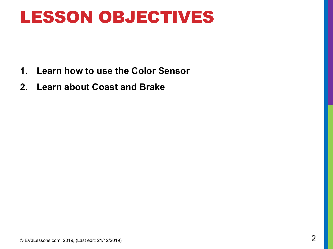### LESSON OBJECTIVES

- **1. Learn how to use the Color Sensor**
- **2. Learn about Coast and Brake**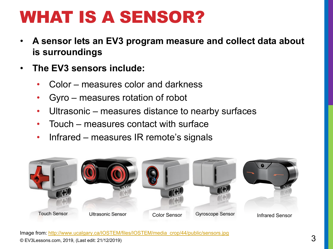# WHAT IS A SENSOR?

- A sensor lets an EV3 program measure and collect data a **is surroundings**
- **The EV3 sensors include:**
	- Color measures color and darkness
	- Gyro measures rotation of robot
	- Ultrasonic [measures distance to nearby su](http://www.ucalgary.ca/IOSTEM/files/IOSTEM/media_crop/44/public/sensors.jpg)rfaces
	- Touch measures contact with surface
	- Infrared measures IR remote's signals

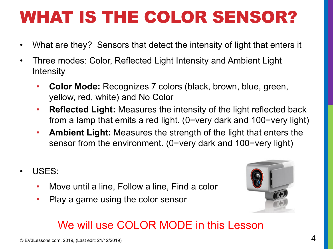## WHAT IS THE COLOR SENSOR?

- What are they? Sensors that detect the intensity of light that enters it
- Three modes: Color, Reflected Light Intensity and Ambient Light **Intensity** 
	- **Color Mode:** Recognizes 7 colors (black, brown, blue, green, yellow, red, white) and No Color
	- **Reflected Light:** Measures the intensity of the light reflected back from a lamp that emits a red light. (0=very dark and 100=very light)
	- **Ambient Light:** Measures the strength of the light that enters the sensor from the environment. (0=very dark and 100=very light)
- USES:
	- Move until a line, Follow a line, Find a color
	- Play a game using the color sensor



#### We will use COLOR MODE in this Lesson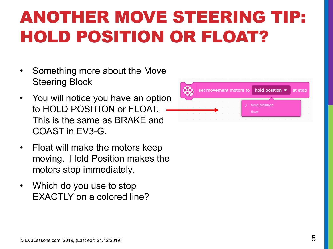# ANOTHER MOVE STEERING TIP: HOLD POSITION OR FLOAT?

- Something more about the Move Steering Block
- You will notice you have an option to HOLD POSITION or FLOAT. This is the same as BRAKE and COAST in EV3-G.
- Float will make the motors keep moving. Hold Position makes the motors stop immediately.
- Which do you use to stop EXACTLY on a colored line?

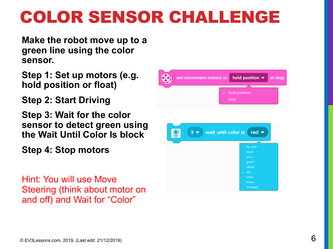# COLOR SENSOR CHALLENGE

**Make the robot move up to a green line using the color sensor.**

**Step 1: Set up motors (e.g. hold position or float)**

**Step 2: Start Driving**

**Step 3: Wait for the color sensor to detect green using the Wait Until Color Is block**

**Step 4: Stop motors**

Hint: You will use Move Steering (think about motor on and off) and Wait for "Color"

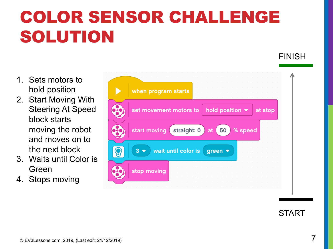# COLOR SENSOR CHALLENGE SOLUTION

- 1. Sets motors to hold position
- 2. Start Moving With Steering At Speed block starts moving the robot and moves on to the next block
- 3. Waits until Color is Green
- 4. Stops moving





FINISH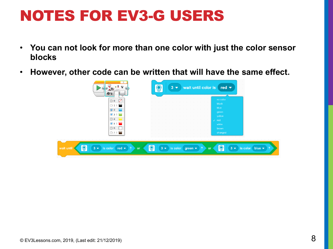#### NOTES FOR EV3-G USERS

- **You can not look for more than one color with just the color sensor blocks**
- **However, other code can be written that will have the same effect.**